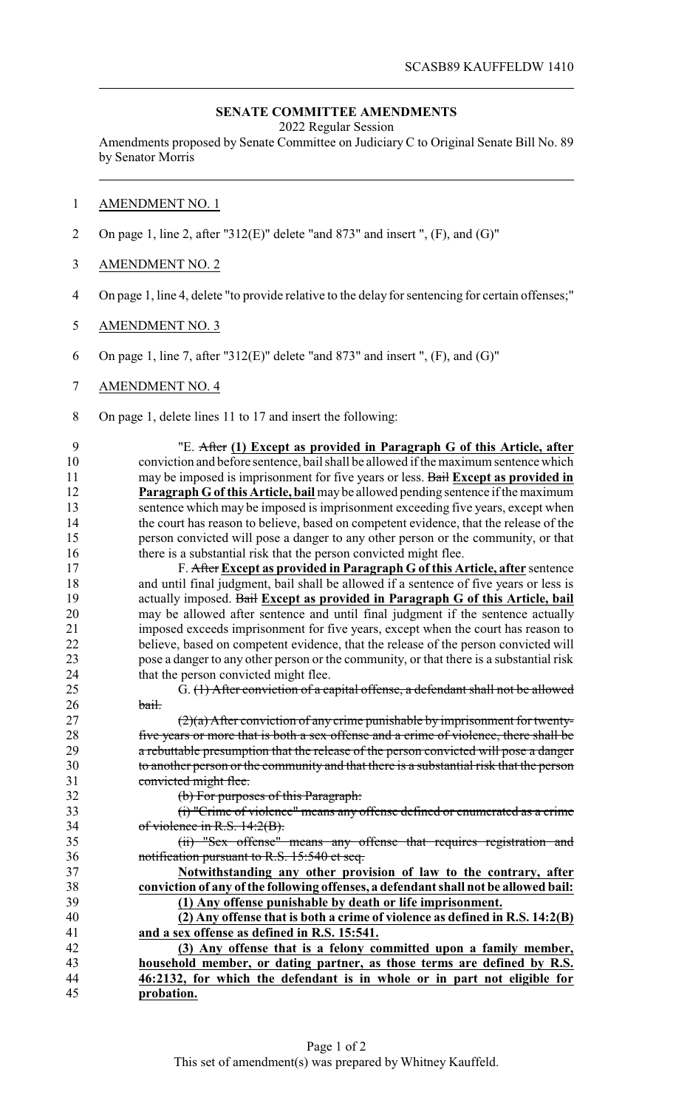## **SENATE COMMITTEE AMENDMENTS**

2022 Regular Session

Amendments proposed by Senate Committee on Judiciary C to Original Senate Bill No. 89 by Senator Morris

## AMENDMENT NO. 1

- On page 1, line 2, after "312(E)" delete "and 873" and insert ", (F), and (G)"
- AMENDMENT NO. 2
- On page 1, line 4, delete "to provide relative to the delay for sentencing for certain offenses;"
- AMENDMENT NO. 3
- On page 1, line 7, after "312(E)" delete "and 873" and insert ", (F), and (G)"
- AMENDMENT NO. 4
- On page 1, delete lines 11 to 17 and insert the following:

 "E. After **(1) Except as provided in Paragraph G of this Article, after** conviction and before sentence, bail shall be allowed if the maximum sentence which may be imposed is imprisonment for five years or less. Bail **Except as provided in Paragraph G of this Article, bail** maybe allowed pending sentence if the maximum sentence which may be imposed is imprisonment exceeding five years, except when the court has reason to believe, based on competent evidence, that the release of the person convicted will pose a danger to any other person or the community, or that 16 there is a substantial risk that the person convicted might flee.

 F. After **Except as provided in Paragraph G of this Article, after** sentence and until final judgment, bail shall be allowed if a sentence of five years or less is actually imposed. Bail **Except as provided in Paragraph G of this Article, bail** may be allowed after sentence and until final judgment if the sentence actually imposed exceeds imprisonment for five years, except when the court has reason to believe, based on competent evidence, that the release of the person convicted will 23 pose a danger to any other person or the community, or that there is a substantial risk<br>24 that the person convicted might flee. that the person convicted might flee.

 G. (1) After conviction of a capital offense, a defendant shall not be allowed 26 bail.

 (2)(a) After conviction of any crime punishable by imprisonment for twenty- five years or more that is both a sex offense and a crime of violence, there shall be 29 a rebuttable presumption that the release of the person convicted will pose a danger to another person or the community and that there is a substantial risk that the person convicted might flee.

(b) For purposes of this Paragraph:

 (i) "Crime of violence" means any offense defined or enumerated as a crime of violence in R.S. 14:2(B).

 (ii) "Sex offense" means any offense that requires registration and notification pursuant to R.S. 15:540 et seq.

 **Notwithstanding any other provision of law to the contrary, after conviction of any ofthe following offenses, a defendant shall not be allowed bail: (1) Any offense punishable by death or life imprisonment.**

 **(2) Any offense that is both a crime of violence as defined in R.S. 14:2(B) and a sex offense as defined in R.S. 15:541.**

 **(3) Any offense that is a felony committed upon a family member, household member, or dating partner, as those terms are defined by R.S. 46:2132, for which the defendant is in whole or in part not eligible for probation.**